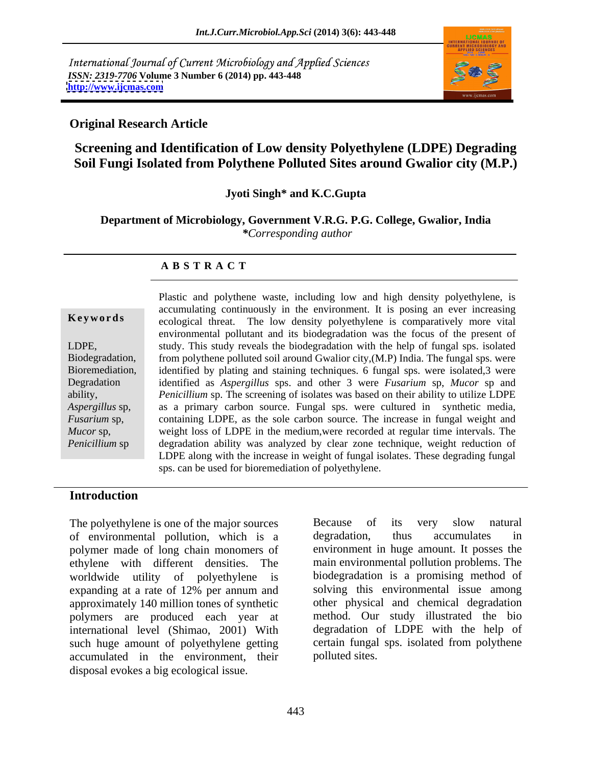International Journal of Current Microbiology and Applied Sciences *ISSN: 2319-7706* **Volume 3 Number 6 (2014) pp. 443-448 <http://www.ijcmas.com>**



## **Original Research Article**

## **Screening and Identification of Low density Polyethylene (LDPE) Degrading Soil Fungi Isolated from Polythene Polluted Sites around Gwalior city (M.P.)**

### **Jyoti Singh\* and K.C.Gupta**

**Department of Microbiology, Government V.R.G. P.G. College, Gwalior, India** *\*Corresponding author* 

### **A B S T R A C T**

**Keywords** ecological threat. The low density polyethylene is comparatively more vital LDPE, study. This study reveals the biodegradation with the help of fungal sps. isolated Biodegradation, from polythene polluted soil around Gwalior city,(M.P) India. The fungal sps. were Bioremediation, identified by plating and staining techniques. 6 fungal sps. were isolated,3 were Degradation identified as *Aspergillus* sps. and other 3 were *Fusarium* sp, *Mucor* sp and ability, *Penicillium* sp. The screening of isolates was based on their ability to utilize LDPE *Aspergillus* sp, as a primary carbon source. Fungal sps. were cultured in synthetic media, *Fusarium* sp, containing LDPE, as the sole carbon source. The increase in fungal weight and *Mucor* sp, weight loss of LDPE in the medium, were recorded at regular time intervals. The *Penicillium* sp degradation ability was analyzed by clear zone technique, weight reduction of Plastic and polythene waste, including low and high density polyethylene, is accumulating continuously in the environment. It is posing an ever increasing environmental pollutant and its biodegradation was the focus of the present of LDPE along with the increase in weight of fungal isolates. These degrading fungal sps. can be used for bioremediation of polyethylene.

### **Introduction**

of environmental pollution, which is a polymer made of long chain monomers of ethylene with different densities.The main environmental pollution problems. The worldwide utility of polyethylene is expanding at a rate of 12% per annum and approximately 140 million tones of synthetic other physical and chemical degradation polymers are produced each year at international level (Shimao, 2001) With such huge amount of polyethylene getting certain fungal<br>accumulated in the environment their polluted sites. accumulated in the environment, their disposal evokes a big ecological issue.

The polyethylene is one of the major sources Because of its very slow natural Because of its very slow natural degradation, thus accumulates in environment in huge amount. It posses the biodegradation is a promising method of solving this environmental issue among method. Our study illustrated the bio degradation of LDPE with the help of certain fungal sps. isolated from polythene polluted sites.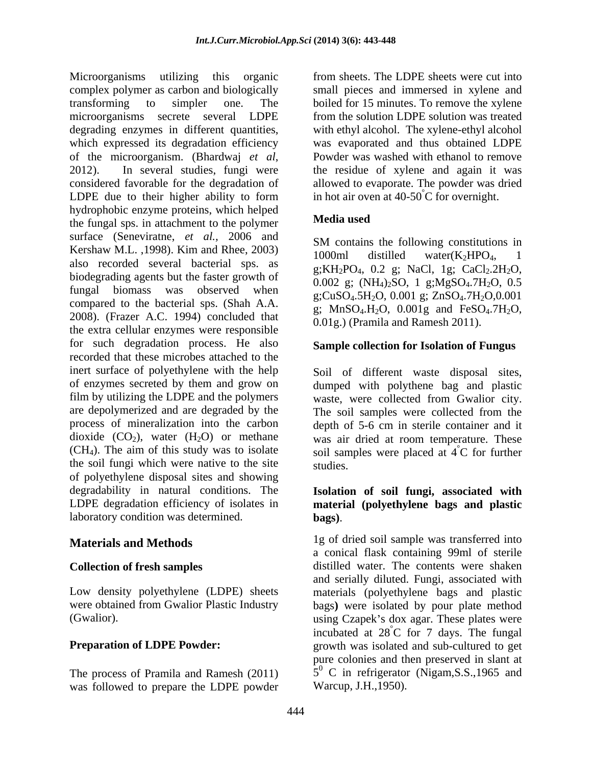Microorganisms utilizing this organic from sheets. The LDPE sheets were cut into complex polymer as carbon and biologically small pieces and immersed in xylene and transforming to simpler one. The boiled for 15 minutes. To remove the xylene microorganisms secrete several LDPE from the solution LDPE solution was treated degrading enzymes in different quantities, with ethyl alcohol. The xylene-ethyl alcohol which expressed its degradation efficiency was evaporated and thus obtained LDPE of the microorganism. (Bhardwaj *et al*, 2012). In several studies, fungi were the residue of xylene and again it was considered favorable for the degradation of allowed to evaporate. The powder was dried LDPE due to their higher ability to form hydrophobic enzyme proteins, which helped<br>the funcal and in etterbrant to the notument the fungal sps. in attachment to the polymer surface (Seneviratne, *et al.,* 2006 and Kershaw M.L. , 1998). Kim and Rhee, 2003)  $\frac{3.000 \text{ m}}{1000 \text{ m}}$  distilled water(K<sub>2</sub>HPO<sub>4</sub>, 1 also recorded several bacterial sps. as biodegrading agents but the faster growth of fungal biomass was observed when  $g$ ;CuSO<sub>4</sub>.5H<sub>2</sub>O, 0.001 g; ZnSO<sub>4</sub>.7H<sub>2</sub>O, 0.001 compared to the bacterial sps. (Shah A.A. 2008). (Frazer A.C. 1994) concluded that the extra cellular enzymes were responsible for such degradation process. He also **Sample collection for Isolation of Fungus** recorded that these microbes attached to the inert surface of polyethylene with the help of enzymes secreted by them and grow on dumped with polythene bag and plastic film by utilizing the LDPE and the polymers waste, were collected from Gwalior city. are depolymerized and are degraded by the The soil samples were collected from the process of mineralization into the carbon depth of 5-6 cm in sterile container and it dioxide  $(CO_2)$ , water  $(H_2O)$  or methane was air dried at room temperature. These  $(CH<sub>4</sub>)$ . The aim of this study was to isolate soil samples were placed at  $\hat{4}^{\circ}C$  for further the soil fungi which were native to the site of polyethylene disposal sites and showing degradability in natural conditions. The **Isolation of soil fungi, associated with** LDPE degradation efficiency of isolates in **material (polyethylene bags and plastic** laboratory condition was determined.

The process of Pramila and Ramesh (2011) was followed to prepare the LDPE powder Powder was washed with ethanol to remove the residue of xylene and again it was in hot air oven at  $40-50^{\circ}$ C for overnight.

## **Media used**

SM contains the following constitutions in 1000ml distilled water(K<sub>2</sub>HPO<sub>4</sub>, 1 g; $KH_2PO_4$ , 0.2 g; NaCl, 1g; CaCl<sub>2</sub>.2H<sub>2</sub>O, 0.002 g;  $(NH_4)_2SO$ , 1 g;Mg $SO_4$ .7H<sub>2</sub>O, 0.5 g;  $MnSO_4.H_2O$ ,  $0.001g$  and  $FeSO_4.7H_2O$ , 0.01g.) (Pramila and Ramesh 2011).

Soil of different waste disposal sites, °C for further studies.

# **bags)**.

**Materials and Methods** 1g of dried soil sample was transferred into **Collection of fresh samples** distilled water. The contents were shaken Low density polyethylene (LDPE) sheets materials (polyethylene bags and plastic were obtained from Gwalior Plastic Industry bags**)** were isolated by pour plate method (Gwalior). These plates were using Czapek's dox agar. These plates were **Preparation of LDPE Powder:** example growth was isolated and sub-cultured to get a conical flask containing 99ml of sterile and serially diluted. Fungi, associated with incubated at  $28^{\circ}$ C for 7 days. The fungal °C for 7 days. The fungal pure colonies and then preserved in slant at 5<sup>0</sup> C in refrigerator (Nigam, S.S., 1965 and Warcup, J.H.,1950).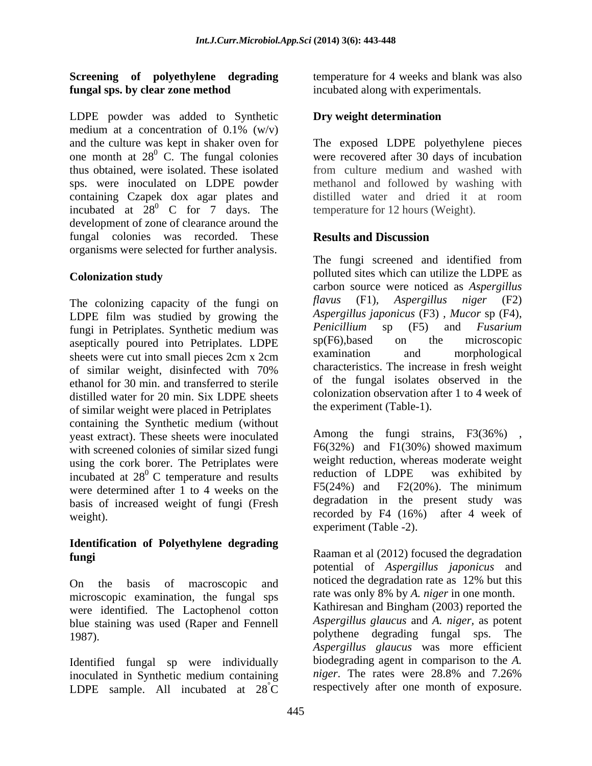## **Screening of polyethylene degrading fungal sps. by clear zone method**

LDPE powder was added to Synthetic **Dry weight determination** medium at a concentration of  $0.1\%$  (w/v) thus obtained, were isolated. These isolated incubated at  $28^\circ$  C for  $7 \text{ days}$ . The development of zone of clearance around the fungal colonies was recorded. These organisms were selected for further analysis.

The colonizing capacity of the fungi on flavus (F1), LDPE film was studied by growing the *Aspergillus japonicus* (F3), Mucor sp (F4), fungi in Petriplates Synthetic medium was *Penicillium* sp (F5) and *Fusarium* fungi in Petriplates. Synthetic medium was <br>entimes Penicillium sp (F5) and Fusarium<br>spectrically poured into Petriplates I DPF sp(F6),based on the microscopic aseptically poured into Petriplates. LDPE  $sp(F6)$ , based on the microscopic sheets were cut into small pieces  $2cm \times 2cm$  examination and morphological sheets were cut into small pieces 2cm x 2cm of similar weight, disinfected with 70% ethanol for 30 min. and transferred to sterile distilled water for 20 min. Six LDPE sheets of similar weight were placed in Petriplates containing the Synthetic medium (without yeast extract). These sheets were inoculated with screened colonies of similar sized fungi using the cork borer. The Petriplates were weight reduction, whereas moderate weight incubated at  $28^0$  C temperature and results reduction of LDPE was exhibited by incubated at  $28^{\circ}$  C temperature and results<br>were determined after 1 to 4 weeks on the F5(24%) and F2(20%). The minimum were determined after 1 to 4 weeks on the basis of increased weight of fungi (Fresh

## **Identification of Polyethylene degrading**

microscopic examination, the fungal sps were identified. The Lactophenol cotton blue staining was used (Raper and Fennell

Identified fungal sp were individually biodegrading agent in comparison to the A.<br>inoculated in Synthetic medium containing *niger*. The rates were 28.8% and 7.26% inoculated in Synthetic medium containing LDPE sample. All incubated at  $28^{\circ}$ C

temperature for 4 weeks and blank was also incubated along with experimentals.

## **Dry weight determination**

and the culture was kept in shaker oven for The exposed LDPE polyethylene pieces one month at 28<sup>0</sup> C. The fungal colonies were recovered after 30 days of incubation sps. were inoculated on LDPE powder methanol and followed by washing with containing Czapek dox agar plates and distilled water and dried it at room  $^{0}$  C for 7 days. The temperature for 12 hours (Weight). from culture medium and washed with temperature for 12 hours (Weight).

## **Results and Discussion**

**Colonization study** polluted sites which can utilize the LDPE as The fungi screened and identified from carbon source were noticed as *Aspergillus Aspergillus niger* (F2) *Aspergillus japonicus* (F3) *, Mucor* sp (F4), *Penicillium* sp (F5) and *Fusarium*  sp(F6),based on the microscopic examination and morphological characteristics. The increase in fresh weight of the fungal isolates observed in the colonization observation after 1 to 4 week of the experiment (Table-1).

weight).  $\qquad \qquad$   $\qquad \qquad$  recorded by F4 (16%) after 4 week of Among the fungi strains, F3(36%) , F6(32%) and F1(30%) showed maximum weight reduction, whereas moderate weight reduction of LDPE was exhibited by  $F5(24%)$  and  $F2(20%)$ . The minimum degradation in the present study was experiment (Table -2).

**fungi**Raaman et al (2012) focused the degradation On the basis of macroscopic and noticed the degradation rate as 12% but this 1987). **polythene** degrading fungal sps. The  ${}^{\circ}\text{C}$  respectively after one month of exposure. potential of *Aspergillus japonicus* and noticed the degradation rate as 12% but this rate was only 8% by *A. niger* in one month. Kathiresan and Bingham (2003) reported the *Aspergillus glaucus* and *A. niger,* as potent *Aspergillus glaucus* was more efficient biodegrading agent in comparison to the *A. niger*. The rates were 28.8% and 7.26%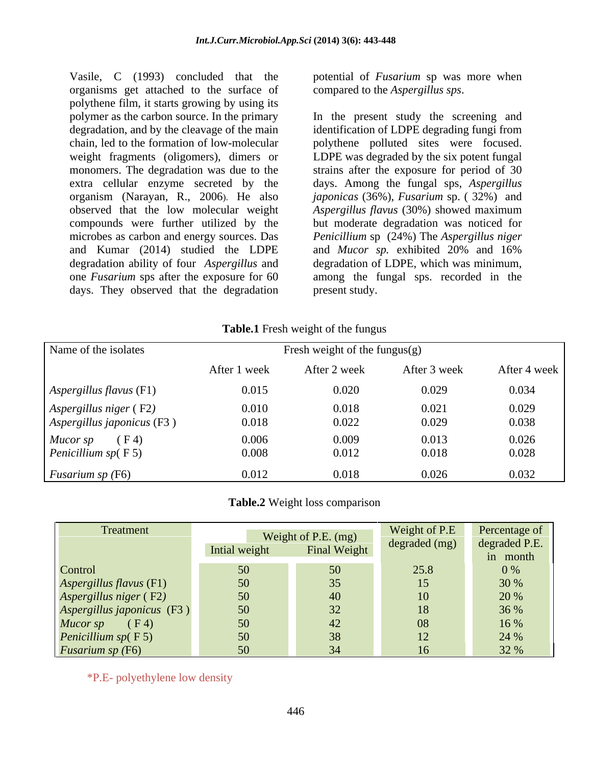Vasile, C (1993) concluded that the potential of *Fusarium* sp was more when organisms get attached to the surface of polythene film, it starts growing by using its and Kumar (2014) studied the LDPE and Mucor sp. exhibited 20% and 16% days. They observed that the degradation

compared to the *Aspergillus sps*.

polymer as the carbon source. In the primary In the present study the screening and degradation, and by the cleavage of the main identification of LDPE degrading fungi from chain, led to the formation of low-molecular polythene polluted sites were focused. weight fragments (oligomers), dimers or LDPE was degraded by the six potent fungal monomers. The degradation was due to the strains after the exposure for period of 30 extra cellular enzyme secreted by the days. Among the fungal sps, *Aspergillus*  organism (Narayan, R., 2006). He also *japonicas*(36%), *Fusarium* sp. ( 32%) and observed that the low molecular weight *Aspergillus flavus* (30%) showed maximum compounds were further utilized by the but moderate degradation was noticed for microbes as carbon and energy sources. Das *Penicillium* sp (24%) The *Aspergillus niger* degradation ability of four *Aspergillus* and degradation of LDPE, which was minimum, one *Fusarium* sps after the exposure for 60 among the fungal sps. recorded in the and *Mucor sp.* exhibited 20% and 16% present study.

| Table.1<br>Fresh weight of the fungus |  |
|---------------------------------------|--|
|                                       |  |

| Name of the isolates                                                 |                | Fresh weight of the fungus $(g)$ |                |                |
|----------------------------------------------------------------------|----------------|----------------------------------|----------------|----------------|
|                                                                      | After 1 week   | After 2 week                     | After 3 week   | After 4 week   |
| $\bigcap$ Aspergillus flavus (F1)                                    | 0.015          | 0.020                            | 0.029          | 0.034          |
| $\vert$ Aspergillus niger (F2)<br>$\vert$ Aspergillus japonicus (F3) | 0.010<br>0.018 | 0.018<br>0.022                   | 0.021<br>0.029 | 0.029<br>0.038 |
| Mucor sp<br>(F <sub>4</sub> )<br>Penicillium $sp(F5)$                | 0.006<br>0.008 | 0.009<br>0.012                   | 0.013<br>0.018 | 0.026<br>0.028 |
| <i>Fusarium sp</i> $(F6)$                                            | 0.012          | 0.018                            | 0.026          | 0.032          |

**Table.2** Weight loss comparison

| Treatment                                            |               | Weight of P.E. (mg) |          | Weight of P.E Percentage of |
|------------------------------------------------------|---------------|---------------------|----------|-----------------------------|
|                                                      | Intial weight | <b>Final Weight</b> |          | degraded (mg) degraded P.E. |
|                                                      |               |                     |          | in month                    |
| Control                                              |               |                     | 25.8     | 0%                          |
| Aspergillus flavus (F1)                              |               |                     |          | 30 %                        |
|                                                      | -50.          |                     |          | 20 %                        |
| Aspergillus niger (F2)<br>Aspergillus japonicus (F3) | $50^{\circ}$  |                     |          | 36 %                        |
| $Mucor sp$ (F4)                                      | -50           |                     | $\Omega$ | 16 %                        |
|                                                      | -50           |                     |          | 24 %                        |
|                                                      |               |                     |          |                             |
| Penicillium sp(F5)<br>Fusarium sp (F6)               |               |                     |          | 32 %                        |

\*P.E- polyethylene low density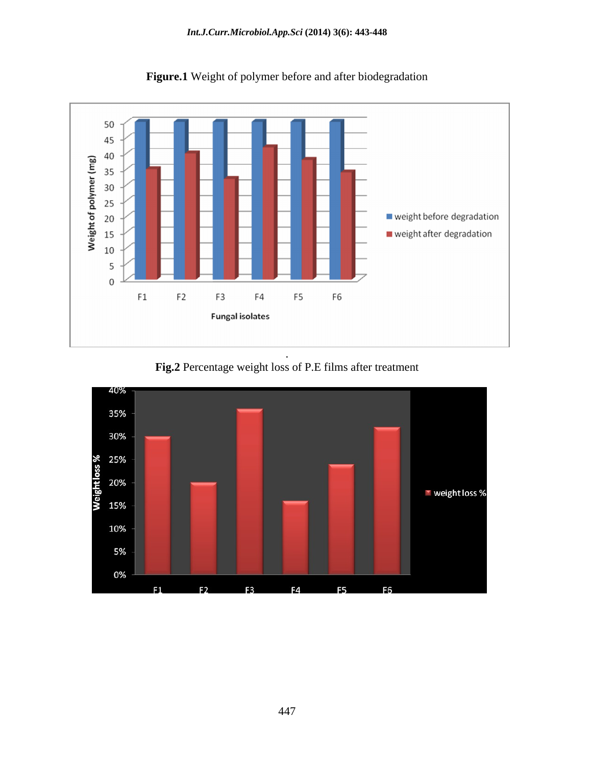

**Figure.1** Weight of polymer before and after biodegradation

**Fig.2** Percentage weight loss of P.E films after treatment